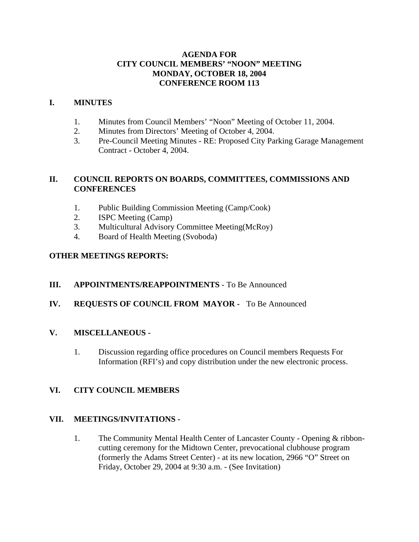### **AGENDA FOR CITY COUNCIL MEMBERS' "NOON" MEETING MONDAY, OCTOBER 18, 2004 CONFERENCE ROOM 113**

#### **I. MINUTES**

- 1. Minutes from Council Members' "Noon" Meeting of October 11, 2004.
- 2. Minutes from Directors' Meeting of October 4, 2004.
- 3. Pre-Council Meeting Minutes RE: Proposed City Parking Garage Management Contract - October 4, 2004.

### **II. COUNCIL REPORTS ON BOARDS, COMMITTEES, COMMISSIONS AND CONFERENCES**

- 1. Public Building Commission Meeting (Camp/Cook)
- 2. ISPC Meeting (Camp)
- 3. Multicultural Advisory Committee Meeting(McRoy)
- 4. Board of Health Meeting (Svoboda)

### **OTHER MEETINGS REPORTS:**

### **III. APPOINTMENTS/REAPPOINTMENTS** - To Be Announced

### **IV. REQUESTS OF COUNCIL FROM MAYOR -** To Be Announced

### **V. MISCELLANEOUS -**

1. Discussion regarding office procedures on Council members Requests For Information (RFI's) and copy distribution under the new electronic process.

### **VI. CITY COUNCIL MEMBERS**

### **VII. MEETINGS/INVITATIONS -**

1. The Community Mental Health Center of Lancaster County - Opening & ribboncutting ceremony for the Midtown Center, prevocational clubhouse program (formerly the Adams Street Center) - at its new location, 2966 "O" Street on Friday, October 29, 2004 at 9:30 a.m. - (See Invitation)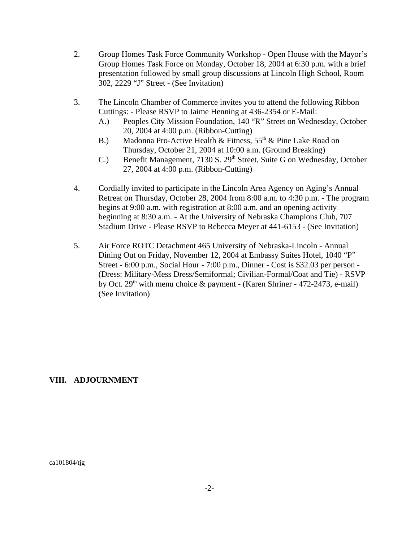- 2. Group Homes Task Force Community Workshop Open House with the Mayor's Group Homes Task Force on Monday, October 18, 2004 at 6:30 p.m. with a brief presentation followed by small group discussions at Lincoln High School, Room 302, 2229 "J" Street - (See Invitation)
- 3. The Lincoln Chamber of Commerce invites you to attend the following Ribbon Cuttings: - Please RSVP to Jaime Henning at 436-2354 or E-Mail:
	- A.) Peoples City Mission Foundation, 140 "R" Street on Wednesday, October 20, 2004 at 4:00 p.m. (Ribbon-Cutting)
	- B.) Madonna Pro-Active Health & Fitness,  $55<sup>th</sup>$  & Pine Lake Road on Thursday, October 21, 2004 at 10:00 a.m. (Ground Breaking)
	- C.) Benefit Management, 7130 S. 29<sup>th</sup> Street, Suite G on Wednesday, October 27, 2004 at 4:00 p.m. (Ribbon-Cutting)
- 4. Cordially invited to participate in the Lincoln Area Agency on Aging's Annual Retreat on Thursday, October 28, 2004 from 8:00 a.m. to 4:30 p.m. - The program begins at 9:00 a.m. with registration at 8:00 a.m. and an opening activity beginning at 8:30 a.m. - At the University of Nebraska Champions Club, 707 Stadium Drive - Please RSVP to Rebecca Meyer at 441-6153 - (See Invitation)
- 5. Air Force ROTC Detachment 465 University of Nebraska-Lincoln Annual Dining Out on Friday, November 12, 2004 at Embassy Suites Hotel, 1040 "P" Street - 6:00 p.m., Social Hour - 7:00 p.m., Dinner - Cost is \$32.03 per person - (Dress: Military-Mess Dress/Semiformal; Civilian-Formal/Coat and Tie) - RSVP by Oct.  $29<sup>th</sup>$  with menu choice & payment - (Karen Shriner - 472-2473, e-mail) (See Invitation)

### **VIII. ADJOURNMENT**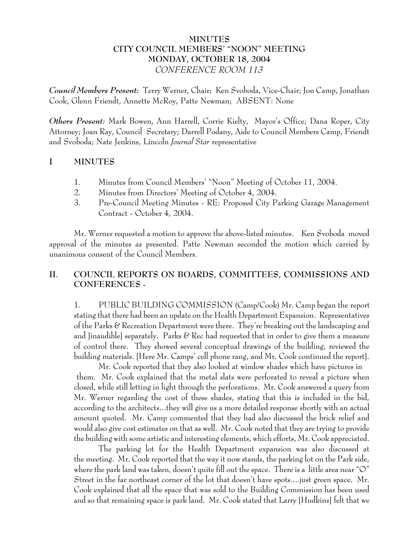## **MINUTES CITY COUNCIL MEMBERS' "NOON" MEETING MONDAY, OCTOBER 18, 2004** *CONFERENCE ROOM 113*

*Council Members Present:* Terry Werner, Chair; Ken Svoboda, Vice-Chair; Jon Camp, Jonathan Cook, Glenn Friendt, Annette McRoy, Patte Newman; ABSENT: None

*Others Present:* Mark Bowen, Ann Harrell, Corrie Kielty, Mayor's Office; Dana Roper, City Attorney; Joan Ray, Council Secretary; Darrell Podany, Aide to Council Members Camp, Friendt and Svoboda; Nate Jenkins, Lincoln *Journal Star* representative

# **I MINUTES**

- 1. Minutes from Council Members' "Noon" Meeting of October 11, 2004.
- 2. Minutes from Directors' Meeting of October 4, 2004.
- 3. Pre-Council Meeting Minutes RE: Proposed City Parking Garage Management Contract - October 4, 2004.

Mr. Werner requested a motion to approve the above-listed minutes. Ken Svoboda moved approval of the minutes as presented. Patte Newman seconded the motion which carried by unanimous consent of the Council Members.

# **II. COUNCIL REPORTS ON BOARDS, COMMITTEES, COMMISSIONS AND CONFERENCES -**

1. PUBLIC BUILDING COMMISSION (Camp/Cook) Mr. Camp began the report stating that there had been an update on the Health Department Expansion. Representatives of the Parks & Recreation Department were there. They're breaking out the landscaping and and linaudiblel separately. Parks  $\mathscr C$  Rec had requested that in order to give them a measure of control there. They showed several conceptual drawings of the building, reviewed the building materials. [Here Mr. Camps' cell phone rang, and Mr. Cook continued the report].

Mr. Cook reported that they also looked at window shades which have pictures in them. Mr. Cook explained that the metal slats were perforated to reveal a picture when closed, while still letting in light through the perforations. Mr. Cook answered a query from Mr. Werner regarding the cost of these shades, stating that this is included in the bid, according to the architects...they will give us a more detailed response shortly with an actual amount quoted. Mr. Camp commented that they had also discussed the brick relief and would also give cost estimates on that as well. Mr. Cook noted that they are trying to provide the building with some artistic and interesting elements, which efforts, Mr. Cook appreciated.

The parking lot for the Health Department expansion was also discussed at the meeting. Mr. Cook reported that the way it now stands, the parking lot on the Park side, where the park land was taken, doesn't quite fill out the space. There is a little area near "O" Street in the far northeast corner of the lot that doesn't have spots....just green space. Mr. Cook explained that all the space that was sold to the Building Commission has been used and so that remaining space is park land. Mr. Cook stated that Larry [Hudkins] felt that we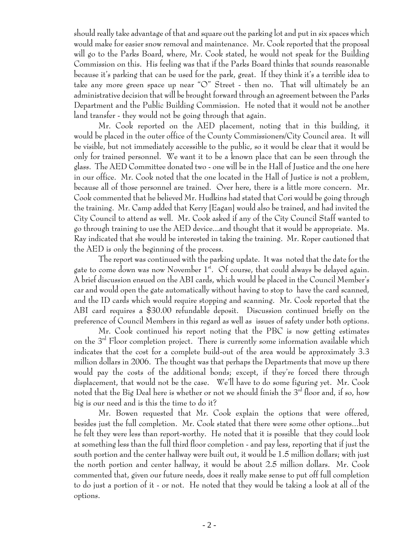should really take advantage of that and square out the parking lot and put in six spaces which would make for easier snow removal and maintenance. Mr. Cook reported that the proposal will go to the Parks Board, where, Mr. Cook stated, he would not speak for the Building Commission on this. His feeling was that if the Parks Board thinks that sounds reasonable because it's parking that can be used for the park, great. If they think it's a terrible idea to take any more green space up near "O" Street - then no. That will ultimately be an administrative decision that will be brought forward through an agreement between the Parks Department and the Public Building Commission. He noted that it would not be another land transfer - they would not be going through that again.

Mr. Cook reported on the AED placement, noting that in this building, it would be placed in the outer office of the County Commissioners/City Council area. It will be visible, but not immediately accessible to the public, so it would be clear that it would be only for trained personnel. We want it to be a known place that can be seen through the glass. The AED Committee donated two - one will be in the Hall of Justice and the one here in our office. Mr. Cook noted that the one located in the Hall of Justice is not a problem, because all of those personnel are trained. Over here, there is a little more concern. Mr. Cook commented that he believed Mr. Hudkins had stated that Cori would be going through the training. Mr. Camp added that Kerry [Eagan] would also be trained, and had invited the City Council to attend as well. Mr. Cook asked if any of the City Council Staff wanted to go through training to use the AED device...and thought that it would be appropriate. Ms. Ray indicated that she would be interested in taking the training. Mr. Roper cautioned that the AED is only the beginning of the process.

The report was continued with the parking update. It was noted that the date for the gate to come down was now November  $1^{st}$ . Of course, that could always be delayed again. A brief discussion ensued on the ABI cards, which would be placed in the Council Member's car and would open the gate automatically without having to stop to have the card scanned, and the ID cards which would require stopping and scanning. Mr. Cook reported that the ABI card requires a \$30.00 refundable deposit. Discussion continued briefly on the preference of Council Members in this regard as well as issues of safety under both options.

Mr. Cook continued his report noting that the PBC is now getting estimates on the 3<sup>rd</sup> Floor completion project. There is currently some information available which indicates that the cost for a complete build-out of the area would be approximately 3.3 million dollars in 2006. The thought was that perhaps the Departments that move up there would pay the costs of the additional bonds; except, if they're forced there through displacement, that would not be the case. We'll have to do some figuring yet. Mr. Cook noted that the Big Deal here is whether or not we should finish the 3<sup>rd</sup> floor and, if so, how big is our need and is this the time to do it?

Mr. Bowen requested that Mr. Cook explain the options that were offered, besides just the full completion. Mr. Cook stated that there were some other options...but he felt they were less than report-worthy. He noted that it is possible that they could look at something less than the full third floor completion - and pay less, reporting that if just the south portion and the center hallway were built out, it would be 1.5 million dollars; with just the north portion and center hallway, it would be about 2.5 million dollars. Mr. Cook commented that, given our future needs, does it really make sense to put off full completion to do just a portion of it - or not. He noted that they would be taking a look at all of the options.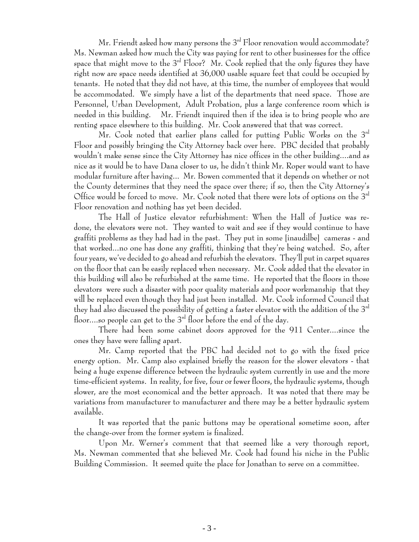Mr. Friendt asked how many persons the  $3<sup>rd</sup>$  Floor renovation would accommodate? Ms. Newman asked how much the City was paying for rent to other businesses for the office space that might move to the  $3<sup>rd</sup>$  Floor? Mr. Cook replied that the only figures they have right now are space needs identified at 36,000 usable square feet that could be occupied by tenants. He noted that they did not have, at this time, the number of employees that would be accommodated. We simply have a list of the departments that need space. Those are Personnel, Urban Development, Adult Probation, plus a large conference room which is needed in this building. Mr. Friendt inquired then if the idea is to bring people who are renting space elsewhere to this building. Mr. Cook answered that that was correct.

Mr. Cook noted that earlier plans called for putting Public Works on the  $3<sup>rd</sup>$ Floor and possibly bringing the City Attorney back over here. PBC decided that probably wouldn't make sense since the City Attorney has nice offices in the other building....and as nice as it would be to have Dana closer to us, he didn't think Mr. Roper would want to have modular furniture after having... Mr. Bowen commented that it depends on whether or not the County determines that they need the space over there; if so, then the City Attorney's Office would be forced to move. Mr. Cook noted that there were lots of options on the  $3<sup>rd</sup>$ Floor renovation and nothing has yet been decided.

The Hall of Justice elevator refurbishment: When the Hall of Justice was redone, the elevators were not. They wanted to wait and see if they would continue to have graffiti problems as they had had in the past. They put in some [inaudilbe] cameras - and that worked...no one has done any graffiti, thinking that they're being watched. So, after four years, we've decided to go ahead and refurbish the elevators. They'll put in carpet squares on the floor that can be easily replaced when necessary. Mr. Cook added that the elevator in this building will also be refurbished at the same time. He reported that the floors in those elevators were such a disaster with poor quality materials and poor workmanship that they will be replaced even though they had just been installed. Mr. Cook informed Council that they had also discussed the possibility of getting a faster elevator with the addition of the  $3^{\rm rd}$ floor....so people can get to the  $3<sup>rd</sup>$  floor before the end of the day.

There had been some cabinet doors approved for the 911 Center....since the ones they have were falling apart.

Mr. Camp reported that the PBC had decided not to go with the fixed price energy option. Mr. Camp also explained briefly the reason for the slower elevators - that being a huge expense difference between the hydraulic system currently in use and the more time-efficient systems. In reality, for five, four or fewer floors, the hydraulic systems, though slower, are the most economical and the better approach. It was noted that there may be variations from manufacturer to manufacturer and there may be a better hydraulic system available.

It was reported that the panic buttons may be operational sometime soon, after the change-over from the former system is finalized.

Upon Mr. Werner's comment that that seemed like a very thorough report, Ms. Newman commented that she believed Mr. Cook had found his niche in the Public Building Commission. It seemed quite the place for Jonathan to serve on a committee.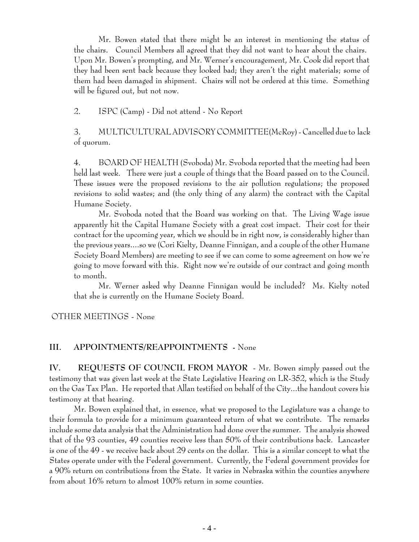Mr. Bowen stated that there might be an interest in mentioning the status of the chairs. Council Members all agreed that they did not want to hear about the chairs. Upon Mr. Bowen's prompting, and Mr. Werner's encouragement, Mr. Cook did report that they had been sent back because they looked bad; they aren't the right materials; some of them had been damaged in shipment. Chairs will not be ordered at this time. Something will be figured out, but not now.

2. ISPC (Camp) - Did not attend - No Report

3. MULTICULTURAL ADVISORY COMMITTEE(McRoy) - Cancelled due to lack of quorum.

4. BOARD OF HEALTH (Svoboda) Mr. Svoboda reported that the meeting had been held last week. There were just a couple of things that the Board passed on to the Council. These issues were the proposed revisions to the air pollution regulations; the proposed revisions to solid wastes; and (the only thing of any alarm) the contract with the Capital Humane Society.

Mr. Svoboda noted that the Board was working on that. The Living Wage issue apparently hit the Capital Humane Society with a great cost impact. Their cost for their contract for the upcoming year, which we should be in right now, is considerably higher than the previous years....so we (Cori Kielty, Deanne Finnigan, and a couple of the other Humane Society Board Members) are meeting to see if we can come to some agreement on how we're going to move forward with this. Right now we're outside of our contract and going month to month.

Mr. Werner asked why Deanne Finnigan would be included? Ms. Kielty noted that she is currently on the Humane Society Board.

OTHER MEETINGS - None

#### **III. APPOINTMENTS/REAPPOINTMENTS -** None

**IV. REQUESTS OF COUNCIL FROM MAYOR** - Mr. Bowen simply passed out the testimony that was given last week at the State Legislative Hearing on LR-352, which is the Study on the Gas Tax Plan. He reported that Allan testified on behalf of the City...the handout covers his testimony at that hearing.

Mr. Bowen explained that, in essence, what we proposed to the Legislature was a change to their formula to provide for a minimum guaranteed return of what we contribute. The remarks include some data analysis that the Administration had done over the summer. The analysis showed that of the 93 counties, 49 counties receive less than 50% of their contributions back. Lancaster is one of the 49 - we receive back about 29 cents on the dollar. This is a similar concept to what the States operate under with the Federal government. Currently, the Federal government provides for a 90% return on contributions from the State. It varies in Nebraska within the counties anywhere from about 16% return to almost 100% return in some counties.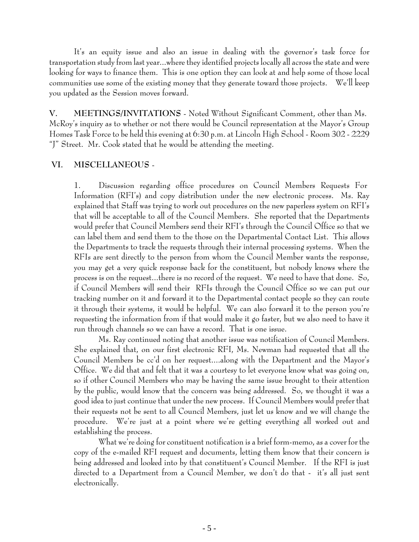It's an equity issue and also an issue in dealing with the governor's task force for transportation study from last year...where they identified projects locally all across the state and were looking for ways to finance them. This is one option they can look at and help some of those local communities use some of the existing money that they generate toward those projects. We'll keep you updated as the Session moves forward.

**V. MEETINGS/INVITATIONS** - Noted Without Significant Comment, other than Ms. McRoy's inquiry as to whether or not there would be Council representation at the Mayor's Group Homes Task Force to be held this evening at 6:30 p.m. at Lincoln High School - Room 302 - 2229 "J" Street. Mr. Cook stated that he would be attending the meeting.

#### **VI. MISCELLANEOUS** -

1. Discussion regarding office procedures on Council Members Requests For Information (RFI's) and copy distribution under the new electronic process. Ms. Ray explained that Staff was trying to work out procedures on the new paperless system on RFI's that will be acceptable to all of the Council Members. She reported that the Departments would prefer that Council Members send their RFI's through the Council Office so that we can label them and send them to the those on the Departmental Contact List. This allows the Departments to track the requests through their internal processing systems. When the RFIs are sent directly to the person from whom the Council Member wants the response, you may get a very quick response back for the constituent, but nobody knows where the process is on the request...there is no record of the request. We need to have that done. So, if Council Members will send their RFIs through the Council Office so we can put our tracking number on it and forward it to the Departmental contact people so they can route it through their systems, it would be helpful. We can also forward it to the person you're requesting the information from if that would make it go faster, but we also need to have it run through channels so we can have a record. That is one issue.

Ms. Ray continued noting that another issue was notification of Council Members. She explained that, on our first electronic RFI, Ms. Newman had requested that all the Council Members be cc'd on her request....along with the Department and the Mayor's Office. We did that and felt that it was a courtesy to let everyone know what was going on, so if other Council Members who may be having the same issue brought to their attention by the public, would know that the concern was being addressed. So, we thought it was a good idea to just continue that under the new process. If Council Members would prefer that their requests not be sent to all Council Members, just let us know and we will change the procedure. We're just at a point where we're getting everything all worked out and establishing the process.

What we're doing for constituent notification is a brief form-memo, as a cover for the copy of the e-mailed RFI request and documents, letting them know that their concern is being addressed and looked into by that constituent's Council Member. If the RFI is just directed to a Department from a Council Member, we don't do that - it's all just sent electronically.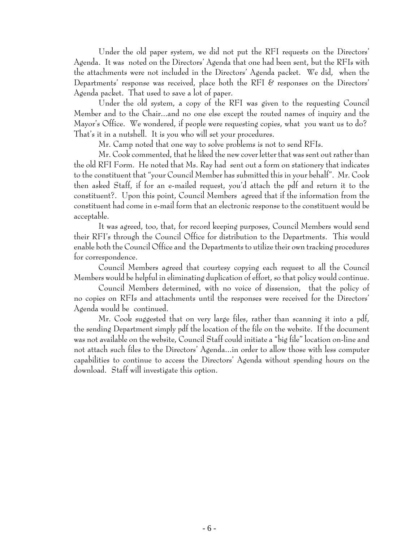Under the old paper system, we did not put the RFI requests on the Directors' Agenda. It was noted on the Directors' Agenda that one had been sent, but the RFIs with the attachments were not included in the Directors' Agenda packet. We did, when the Departments' response was received, place both the RFI  $\mathscr E$  responses on the Directors' Agenda packet. That used to save a lot of paper.

Under the old system, a copy of the RFI was given to the requesting Council Member and to the Chair...and no one else except the routed names of inquiry and the Mayor's Office. We wondered, if people were requesting copies, what you want us to do? That's it in a nutshell. It is you who will set your procedures.

Mr. Camp noted that one way to solve problems is not to send RFIs.

Mr. Cook commented, that he liked the new cover letter that was sent out rather than the old RFI Form. He noted that Ms. Ray had sent out a form on stationery that indicates to the constituent that "your Council Member has submitted this in your behalf". Mr. Cook then asked Staff, if for an e-mailed request, you'd attach the pdf and return it to the constituent?. Upon this point, Council Members agreed that if the information from the constituent had come in e-mail form that an electronic response to the constituent would be acceptable.

It was agreed, too, that, for record keeping purposes, Council Members would send their RFI's through the Council Office for distribution to the Departments. This would enable both the Council Office and the Departments to utilize their own tracking procedures for correspondence.

Council Members agreed that courtesy copying each request to all the Council Members would be helpful in eliminating duplication of effort, so that policy would continue.

Council Members determined, with no voice of dissension, that the policy of no copies on RFIs and attachments until the responses were received for the Directors' Agenda would be continued.

Mr. Cook suggested that on very large files, rather than scanning it into a pdf, the sending Department simply pdf the location of the file on the website. If the document was not available on the website, Council Staff could initiate a "big file" location on-line and not attach such files to the Directors' Agenda...in order to allow those with less computer capabilities to continue to access the Directors' Agenda without spending hours on the download. Staff will investigate this option.